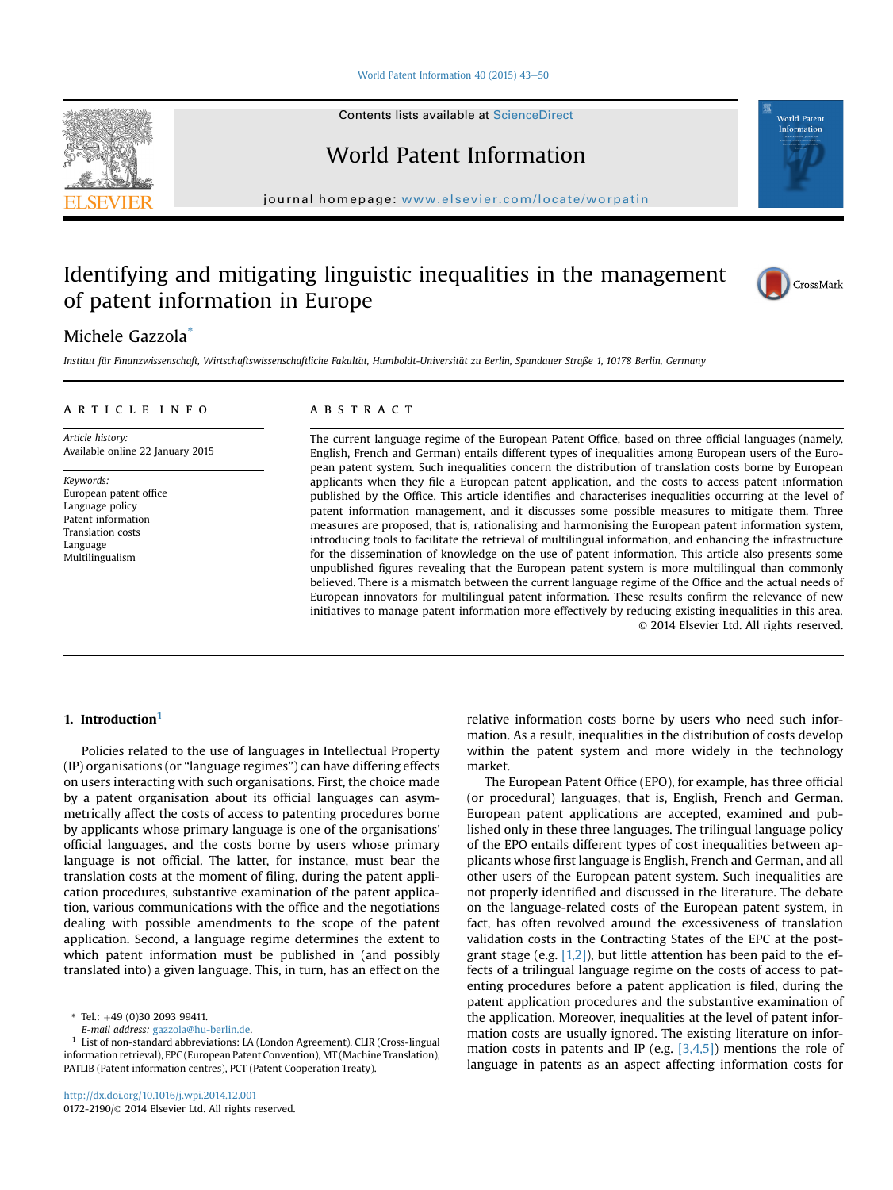World Patent Information  $40$  (2015)  $43-50$  $43-50$ 

Contents lists available at ScienceDirect

# World Patent Information

journal homepage: [www.elsevier.com/locate/worpatin](http://www.elsevier.com/locate/worpatin)

## Identifying and mitigating linguistic inequalities in the management of patent information in Europe

## Michele Gazzola\*

Institut für Finanzwissenschaft, Wirtschaftswissenschaftliche Fakultät, Humboldt-Universität zu Berlin, Spandauer Straße 1, 10178 Berlin, Germany

#### article info

Article history: Available online 22 January 2015

Keywords: European patent office Language policy Patent information Translation costs Language Multilingualism

### **ABSTRACT**

The current language regime of the European Patent Office, based on three official languages (namely, English, French and German) entails different types of inequalities among European users of the European patent system. Such inequalities concern the distribution of translation costs borne by European applicants when they file a European patent application, and the costs to access patent information published by the Office. This article identifies and characterises inequalities occurring at the level of patent information management, and it discusses some possible measures to mitigate them. Three measures are proposed, that is, rationalising and harmonising the European patent information system, introducing tools to facilitate the retrieval of multilingual information, and enhancing the infrastructure for the dissemination of knowledge on the use of patent information. This article also presents some unpublished figures revealing that the European patent system is more multilingual than commonly believed. There is a mismatch between the current language regime of the Office and the actual needs of European innovators for multilingual patent information. These results confirm the relevance of new initiatives to manage patent information more effectively by reducing existing inequalities in this area. © 2014 Elsevier Ltd. All rights reserved.

## 1. Introduction<sup>1</sup>

Policies related to the use of languages in Intellectual Property (IP) organisations (or "language regimes") can have differing effects on users interacting with such organisations. First, the choice made by a patent organisation about its official languages can asymmetrically affect the costs of access to patenting procedures borne by applicants whose primary language is one of the organisations' official languages, and the costs borne by users whose primary language is not official. The latter, for instance, must bear the translation costs at the moment of filing, during the patent application procedures, substantive examination of the patent application, various communications with the office and the negotiations dealing with possible amendments to the scope of the patent application. Second, a language regime determines the extent to which patent information must be published in (and possibly translated into) a given language. This, in turn, has an effect on the relative information costs borne by users who need such information. As a result, inequalities in the distribution of costs develop within the patent system and more widely in the technology market.

The European Patent Office (EPO), for example, has three official (or procedural) languages, that is, English, French and German. European patent applications are accepted, examined and published only in these three languages. The trilingual language policy of the EPO entails different types of cost inequalities between applicants whose first language is English, French and German, and all other users of the European patent system. Such inequalities are not properly identified and discussed in the literature. The debate on the language-related costs of the European patent system, in fact, has often revolved around the excessiveness of translation validation costs in the Contracting States of the EPC at the postgrant stage (e.g.  $[1,2]$ ), but little attention has been paid to the effects of a trilingual language regime on the costs of access to patenting procedures before a patent application is filed, during the patent application procedures and the substantive examination of the application. Moreover, inequalities at the level of patent information costs are usually ignored. The existing literature on information costs in patents and IP (e.g.  $[3,4,5]$ ) mentions the role of language in patents as an aspect affecting information costs for







 $*$  Tel.:  $+49$  (0)30 2093 99411.

E-mail address: [gazzola@hu-berlin.de.](mailto:gazzola@hu-berlin.de)

List of non-standard abbreviations: LA (London Agreement), CLIR (Cross-lingual information retrieval), EPC (European Patent Convention), MT (Machine Translation), PATLIB (Patent information centres), PCT (Patent Cooperation Treaty).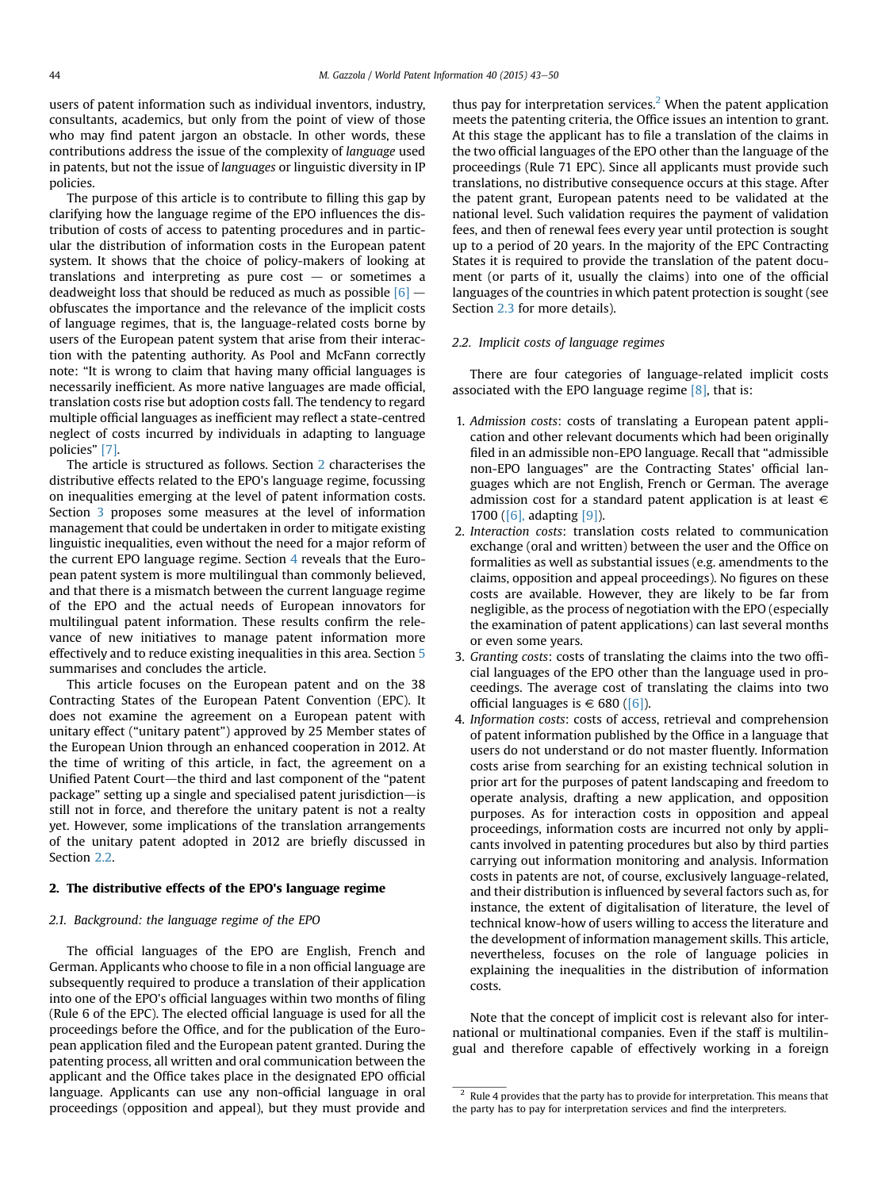users of patent information such as individual inventors, industry, consultants, academics, but only from the point of view of those who may find patent jargon an obstacle. In other words, these contributions address the issue of the complexity of language used in patents, but not the issue of languages or linguistic diversity in IP policies.

The purpose of this article is to contribute to filling this gap by clarifying how the language regime of the EPO influences the distribution of costs of access to patenting procedures and in particular the distribution of information costs in the European patent system. It shows that the choice of policy-makers of looking at translations and interpreting as pure cost  $-$  or sometimes a deadweight loss that should be reduced as much as possible  $[6]$  – obfuscates the importance and the relevance of the implicit costs of language regimes, that is, the language-related costs borne by users of the European patent system that arise from their interaction with the patenting authority. As Pool and McFann correctly note: "It is wrong to claim that having many official languages is necessarily inefficient. As more native languages are made official, translation costs rise but adoption costs fall. The tendency to regard multiple official languages as inefficient may reflect a state-centred neglect of costs incurred by individuals in adapting to language policies" [\[7\]](#page-6-0).

The article is structured as follows. Section 2 characterises the distributive effects related to the EPO's language regime, focussing on inequalities emerging at the level of patent information costs. Section [3](#page-3-0) proposes some measures at the level of information management that could be undertaken in order to mitigate existing linguistic inequalities, even without the need for a major reform of the current EPO language regime. Section [4](#page-4-0) reveals that the European patent system is more multilingual than commonly believed, and that there is a mismatch between the current language regime of the EPO and the actual needs of European innovators for multilingual patent information. These results confirm the relevance of new initiatives to manage patent information more effectively and to reduce existing inequalities in this area. Section [5](#page-5-0) summarises and concludes the article.

This article focuses on the European patent and on the 38 Contracting States of the European Patent Convention (EPC). It does not examine the agreement on a European patent with unitary effect ("unitary patent") approved by 25 Member states of the European Union through an enhanced cooperation in 2012. At the time of writing of this article, in fact, the agreement on a Unified Patent Court-the third and last component of the "patent" package" setting up a single and specialised patent jurisdiction-is still not in force, and therefore the unitary patent is not a realty yet. However, some implications of the translation arrangements of the unitary patent adopted in 2012 are briefly discussed in Section 2.2.

#### 2. The distributive effects of the EPO's language regime

#### 2.1. Background: the language regime of the EPO

The official languages of the EPO are English, French and German. Applicants who choose to file in a non official language are subsequently required to produce a translation of their application into one of the EPO's official languages within two months of filing (Rule 6 of the EPC). The elected official language is used for all the proceedings before the Office, and for the publication of the European application filed and the European patent granted. During the patenting process, all written and oral communication between the applicant and the Office takes place in the designated EPO official language. Applicants can use any non-official language in oral proceedings (opposition and appeal), but they must provide and thus pay for interpretation services.<sup>2</sup> When the patent application meets the patenting criteria, the Office issues an intention to grant. At this stage the applicant has to file a translation of the claims in the two official languages of the EPO other than the language of the proceedings (Rule 71 EPC). Since all applicants must provide such translations, no distributive consequence occurs at this stage. After the patent grant, European patents need to be validated at the national level. Such validation requires the payment of validation fees, and then of renewal fees every year until protection is sought up to a period of 20 years. In the majority of the EPC Contracting States it is required to provide the translation of the patent document (or parts of it, usually the claims) into one of the official languages of the countries in which patent protection is sought (see Section [2.3](#page-2-0) for more details).

### 2.2. Implicit costs of language regimes

There are four categories of language-related implicit costs associated with the EPO language regime  $[8]$ , that is:

- 1. Admission costs: costs of translating a European patent application and other relevant documents which had been originally filed in an admissible non-EPO language. Recall that "admissible non-EPO languages" are the Contracting States' official languages which are not English, French or German. The average admission cost for a standard patent application is at least  $\in$ 1700 ([\[6\],](#page-6-0) adapting [\[9\]\)](#page-6-0).
- 2. Interaction costs: translation costs related to communication exchange (oral and written) between the user and the Office on formalities as well as substantial issues (e.g. amendments to the claims, opposition and appeal proceedings). No figures on these costs are available. However, they are likely to be far from negligible, as the process of negotiation with the EPO (especially the examination of patent applications) can last several months or even some years.
- 3. Granting costs: costs of translating the claims into the two official languages of the EPO other than the language used in proceedings. The average cost of translating the claims into two official languages is  $\in$  680 ([\[6\]](#page-6-0)).
- 4. Information costs: costs of access, retrieval and comprehension of patent information published by the Office in a language that users do not understand or do not master fluently. Information costs arise from searching for an existing technical solution in prior art for the purposes of patent landscaping and freedom to operate analysis, drafting a new application, and opposition purposes. As for interaction costs in opposition and appeal proceedings, information costs are incurred not only by applicants involved in patenting procedures but also by third parties carrying out information monitoring and analysis. Information costs in patents are not, of course, exclusively language-related, and their distribution is influenced by several factors such as, for instance, the extent of digitalisation of literature, the level of technical know-how of users willing to access the literature and the development of information management skills. This article, nevertheless, focuses on the role of language policies in explaining the inequalities in the distribution of information costs.

Note that the concept of implicit cost is relevant also for international or multinational companies. Even if the staff is multilingual and therefore capable of effectively working in a foreign

 $2$  Rule 4 provides that the party has to provide for interpretation. This means that the party has to pay for interpretation services and find the interpreters.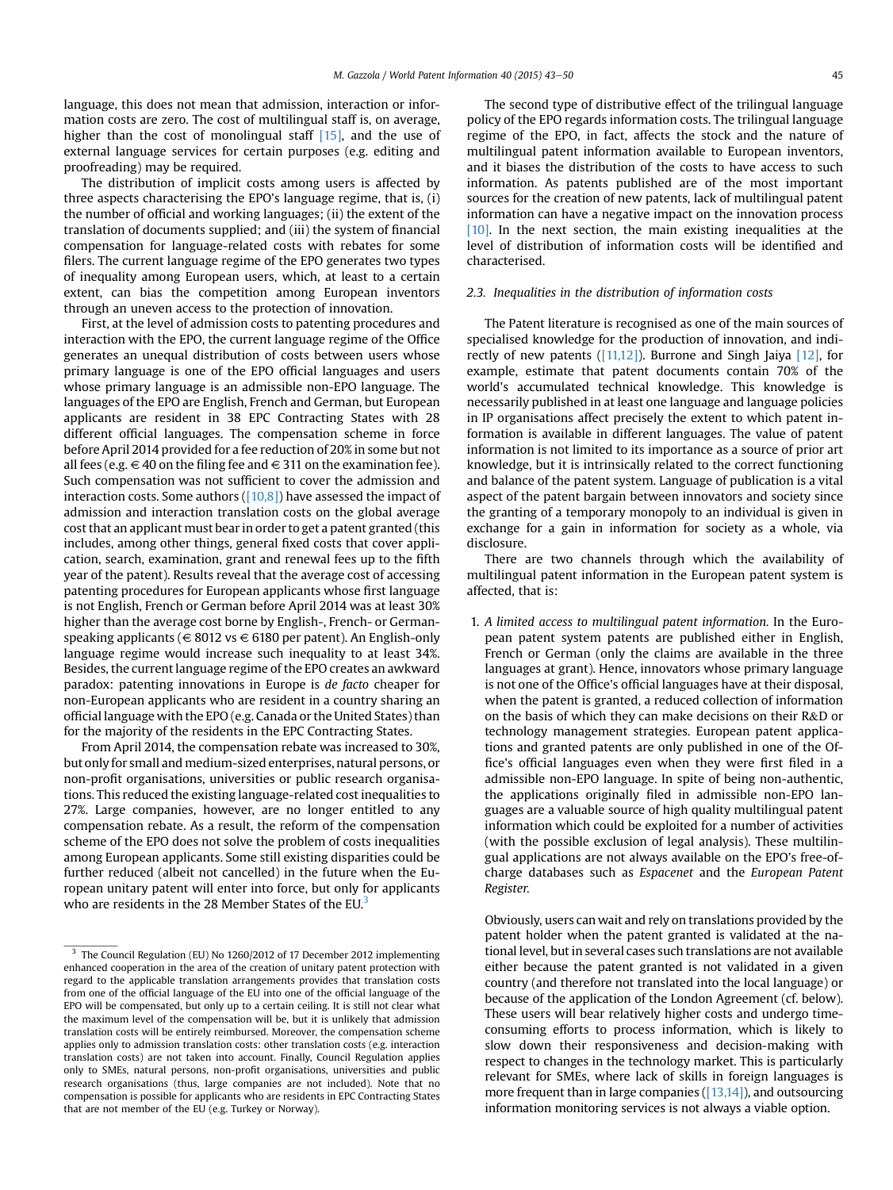<span id="page-2-0"></span>language, this does not mean that admission, interaction or information costs are zero. The cost of multilingual staff is, on average, higher than the cost of monolingual staff [\[15\],](#page-6-0) and the use of external language services for certain purposes (e.g. editing and proofreading) may be required.

The distribution of implicit costs among users is affected by three aspects characterising the EPO's language regime, that is, (i) the number of official and working languages; (ii) the extent of the translation of documents supplied; and (iii) the system of financial compensation for language-related costs with rebates for some filers. The current language regime of the EPO generates two types of inequality among European users, which, at least to a certain extent, can bias the competition among European inventors through an uneven access to the protection of innovation.

First, at the level of admission costs to patenting procedures and interaction with the EPO, the current language regime of the Office generates an unequal distribution of costs between users whose primary language is one of the EPO official languages and users whose primary language is an admissible non-EPO language. The languages of the EPO are English, French and German, but European applicants are resident in 38 EPC Contracting States with 28 different official languages. The compensation scheme in force before April 2014 provided for a fee reduction of 20% in some but not all fees (e.g.  $\in$  40 on the filing fee and  $\in$  311 on the examination fee). Such compensation was not sufficient to cover the admission and interaction costs. Some authors  $([10,8])$  have assessed the impact of admission and interaction translation costs on the global average cost that an applicant must bear in order to get a patent granted (this includes, among other things, general fixed costs that cover application, search, examination, grant and renewal fees up to the fifth year of the patent). Results reveal that the average cost of accessing patenting procedures for European applicants whose first language is not English, French or German before April 2014 was at least 30% higher than the average cost borne by English-, French- or Germanspeaking applicants ( $\in$  8012 vs  $\in$  6180 per patent). An English-only language regime would increase such inequality to at least 34%. Besides, the current language regime of the EPO creates an awkward paradox: patenting innovations in Europe is de facto cheaper for non-European applicants who are resident in a country sharing an official language with the EPO (e.g. Canada or the United States) than for the majority of the residents in the EPC Contracting States.

From April 2014, the compensation rebate was increased to 30%, but only for small and medium-sized enterprises, natural persons, or non-profit organisations, universities or public research organisations. This reduced the existing language-related cost inequalities to 27%. Large companies, however, are no longer entitled to any compensation rebate. As a result, the reform of the compensation scheme of the EPO does not solve the problem of costs inequalities among European applicants. Some still existing disparities could be further reduced (albeit not cancelled) in the future when the European unitary patent will enter into force, but only for applicants who are residents in the 28 Member States of the EU.<sup>3</sup>

The second type of distributive effect of the trilingual language policy of the EPO regards information costs. The trilingual language regime of the EPO, in fact, affects the stock and the nature of multilingual patent information available to European inventors, and it biases the distribution of the costs to have access to such information. As patents published are of the most important sources for the creation of new patents, lack of multilingual patent information can have a negative impact on the innovation process [\[10\]](#page-6-0). In the next section, the main existing inequalities at the level of distribution of information costs will be identified and characterised.

### 2.3. Inequalities in the distribution of information costs

The Patent literature is recognised as one of the main sources of specialised knowledge for the production of innovation, and indi-rectly of new patents [\(\[11,12\]\)](#page-6-0). Burrone and Singh Jaiya [\[12\]](#page-6-0), for example, estimate that patent documents contain 70% of the world's accumulated technical knowledge. This knowledge is necessarily published in at least one language and language policies in IP organisations affect precisely the extent to which patent information is available in different languages. The value of patent information is not limited to its importance as a source of prior art knowledge, but it is intrinsically related to the correct functioning and balance of the patent system. Language of publication is a vital aspect of the patent bargain between innovators and society since the granting of a temporary monopoly to an individual is given in exchange for a gain in information for society as a whole, via disclosure.

There are two channels through which the availability of multilingual patent information in the European patent system is affected, that is:

1. A limited access to multilingual patent information. In the European patent system patents are published either in English, French or German (only the claims are available in the three languages at grant). Hence, innovators whose primary language is not one of the Office's official languages have at their disposal, when the patent is granted, a reduced collection of information on the basis of which they can make decisions on their R&D or technology management strategies. European patent applications and granted patents are only published in one of the Office's official languages even when they were first filed in a admissible non-EPO language. In spite of being non-authentic, the applications originally filed in admissible non-EPO languages are a valuable source of high quality multilingual patent information which could be exploited for a number of activities (with the possible exclusion of legal analysis). These multilingual applications are not always available on the EPO's free-ofcharge databases such as Espacenet and the European Patent Register.

Obviously, users can wait and rely on translations provided by the patent holder when the patent granted is validated at the national level, but in several cases such translations are not available either because the patent granted is not validated in a given country (and therefore not translated into the local language) or because of the application of the London Agreement (cf. below). These users will bear relatively higher costs and undergo timeconsuming efforts to process information, which is likely to slow down their responsiveness and decision-making with respect to changes in the technology market. This is particularly relevant for SMEs, where lack of skills in foreign languages is more frequent than in large companies [\(\[13,14\]\)](#page-6-0), and outsourcing information monitoring services is not always a viable option.

<sup>3</sup> The Council Regulation (EU) No 1260/2012 of 17 December 2012 implementing enhanced cooperation in the area of the creation of unitary patent protection with regard to the applicable translation arrangements provides that translation costs from one of the official language of the EU into one of the official language of the EPO will be compensated, but only up to a certain ceiling. It is still not clear what the maximum level of the compensation will be, but it is unlikely that admission translation costs will be entirely reimbursed. Moreover, the compensation scheme applies only to admission translation costs: other translation costs (e.g. interaction translation costs) are not taken into account. Finally, Council Regulation applies only to SMEs, natural persons, non-profit organisations, universities and public research organisations (thus, large companies are not included). Note that no compensation is possible for applicants who are residents in EPC Contracting States that are not member of the EU (e.g. Turkey or Norway).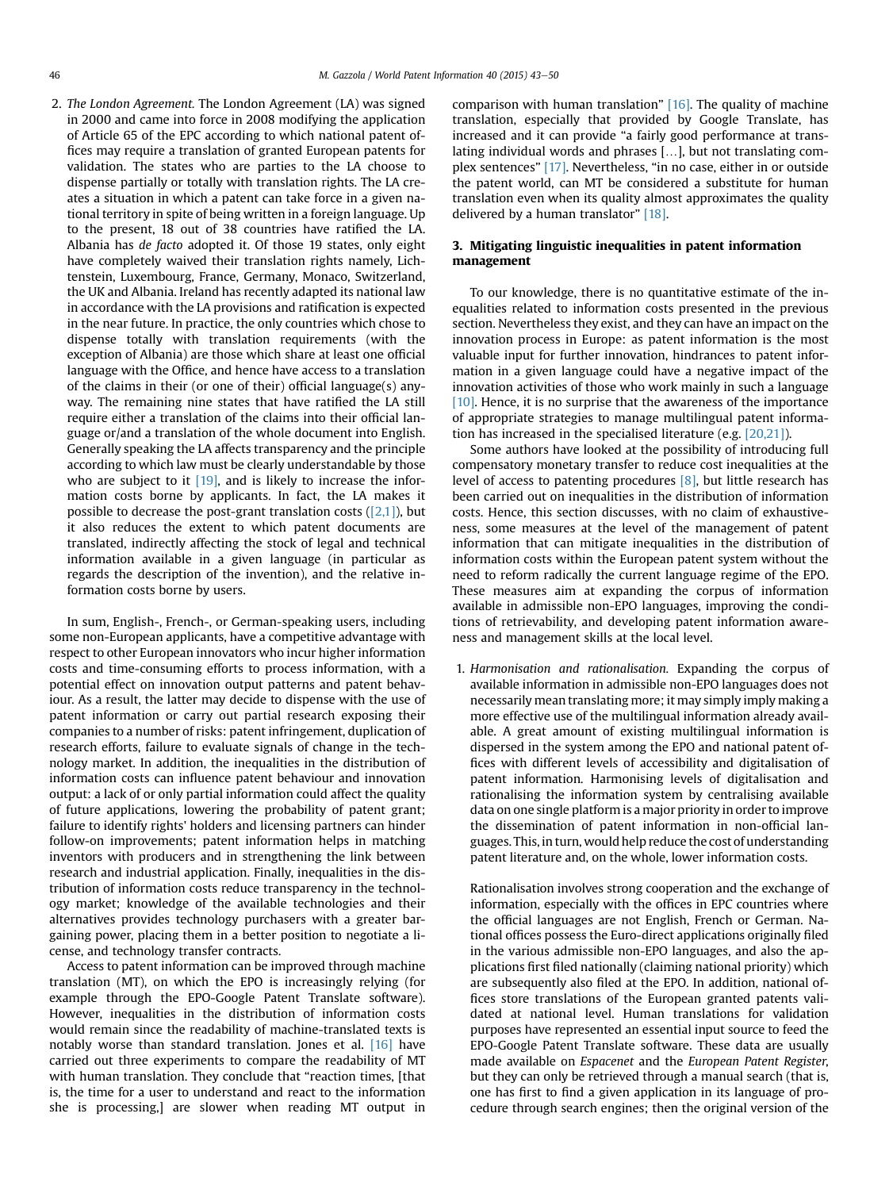<span id="page-3-0"></span>2. The London Agreement. The London Agreement (LA) was signed in 2000 and came into force in 2008 modifying the application of Article 65 of the EPC according to which national patent offices may require a translation of granted European patents for validation. The states who are parties to the LA choose to dispense partially or totally with translation rights. The LA creates a situation in which a patent can take force in a given national territory in spite of being written in a foreign language. Up to the present, 18 out of 38 countries have ratified the LA. Albania has de facto adopted it. Of those 19 states, only eight have completely waived their translation rights namely, Lichtenstein, Luxembourg, France, Germany, Monaco, Switzerland, the UK and Albania. Ireland has recently adapted its national law in accordance with the LA provisions and ratification is expected in the near future. In practice, the only countries which chose to dispense totally with translation requirements (with the exception of Albania) are those which share at least one official language with the Office, and hence have access to a translation of the claims in their (or one of their) official language(s) anyway. The remaining nine states that have ratified the LA still require either a translation of the claims into their official language or/and a translation of the whole document into English. Generally speaking the LA affects transparency and the principle according to which law must be clearly understandable by those who are subject to it  $[19]$ , and is likely to increase the information costs borne by applicants. In fact, the LA makes it possible to decrease the post-grant translation costs  $([2,1])$ , but it also reduces the extent to which patent documents are translated, indirectly affecting the stock of legal and technical information available in a given language (in particular as regards the description of the invention), and the relative information costs borne by users.

In sum, English-, French-, or German-speaking users, including some non-European applicants, have a competitive advantage with respect to other European innovators who incur higher information costs and time-consuming efforts to process information, with a potential effect on innovation output patterns and patent behaviour. As a result, the latter may decide to dispense with the use of patent information or carry out partial research exposing their companies to a number of risks: patent infringement, duplication of research efforts, failure to evaluate signals of change in the technology market. In addition, the inequalities in the distribution of information costs can influence patent behaviour and innovation output: a lack of or only partial information could affect the quality of future applications, lowering the probability of patent grant; failure to identify rights' holders and licensing partners can hinder follow-on improvements; patent information helps in matching inventors with producers and in strengthening the link between research and industrial application. Finally, inequalities in the distribution of information costs reduce transparency in the technology market; knowledge of the available technologies and their alternatives provides technology purchasers with a greater bargaining power, placing them in a better position to negotiate a license, and technology transfer contracts.

Access to patent information can be improved through machine translation (MT), on which the EPO is increasingly relying (for example through the EPO-Google Patent Translate software). However, inequalities in the distribution of information costs would remain since the readability of machine-translated texts is notably worse than standard translation. Jones et al. [\[16\]](#page-6-0) have carried out three experiments to compare the readability of MT with human translation. They conclude that "reaction times, [that is, the time for a user to understand and react to the information she is processing,] are slower when reading MT output in comparison with human translation"  $[16]$ . The quality of machine translation, especially that provided by Google Translate, has increased and it can provide "a fairly good performance at translating individual words and phrases […], but not translating complex sentences" [\[17\].](#page-6-0) Nevertheless, "in no case, either in or outside the patent world, can MT be considered a substitute for human translation even when its quality almost approximates the quality delivered by a human translator" [\[18\]](#page-6-0).

## 3. Mitigating linguistic inequalities in patent information management

To our knowledge, there is no quantitative estimate of the inequalities related to information costs presented in the previous section. Nevertheless they exist, and they can have an impact on the innovation process in Europe: as patent information is the most valuable input for further innovation, hindrances to patent information in a given language could have a negative impact of the innovation activities of those who work mainly in such a language  $[10]$ . Hence, it is no surprise that the awareness of the importance of appropriate strategies to manage multilingual patent information has increased in the specialised literature (e.g. [\[20,21\]](#page-7-0)).

Some authors have looked at the possibility of introducing full compensatory monetary transfer to reduce cost inequalities at the level of access to patenting procedures  $[8]$ , but little research has been carried out on inequalities in the distribution of information costs. Hence, this section discusses, with no claim of exhaustiveness, some measures at the level of the management of patent information that can mitigate inequalities in the distribution of information costs within the European patent system without the need to reform radically the current language regime of the EPO. These measures aim at expanding the corpus of information available in admissible non-EPO languages, improving the conditions of retrievability, and developing patent information awareness and management skills at the local level.

1. Harmonisation and rationalisation. Expanding the corpus of available information in admissible non-EPO languages does not necessarily mean translating more; it may simply imply making a more effective use of the multilingual information already available. A great amount of existing multilingual information is dispersed in the system among the EPO and national patent offices with different levels of accessibility and digitalisation of patent information. Harmonising levels of digitalisation and rationalising the information system by centralising available data on one single platform is a major priority in order to improve the dissemination of patent information in non-official languages. This, in turn, would help reduce the cost of understanding patent literature and, on the whole, lower information costs.

Rationalisation involves strong cooperation and the exchange of information, especially with the offices in EPC countries where the official languages are not English, French or German. National offices possess the Euro-direct applications originally filed in the various admissible non-EPO languages, and also the applications first filed nationally (claiming national priority) which are subsequently also filed at the EPO. In addition, national offices store translations of the European granted patents validated at national level. Human translations for validation purposes have represented an essential input source to feed the EPO-Google Patent Translate software. These data are usually made available on Espacenet and the European Patent Register, but they can only be retrieved through a manual search (that is, one has first to find a given application in its language of procedure through search engines; then the original version of the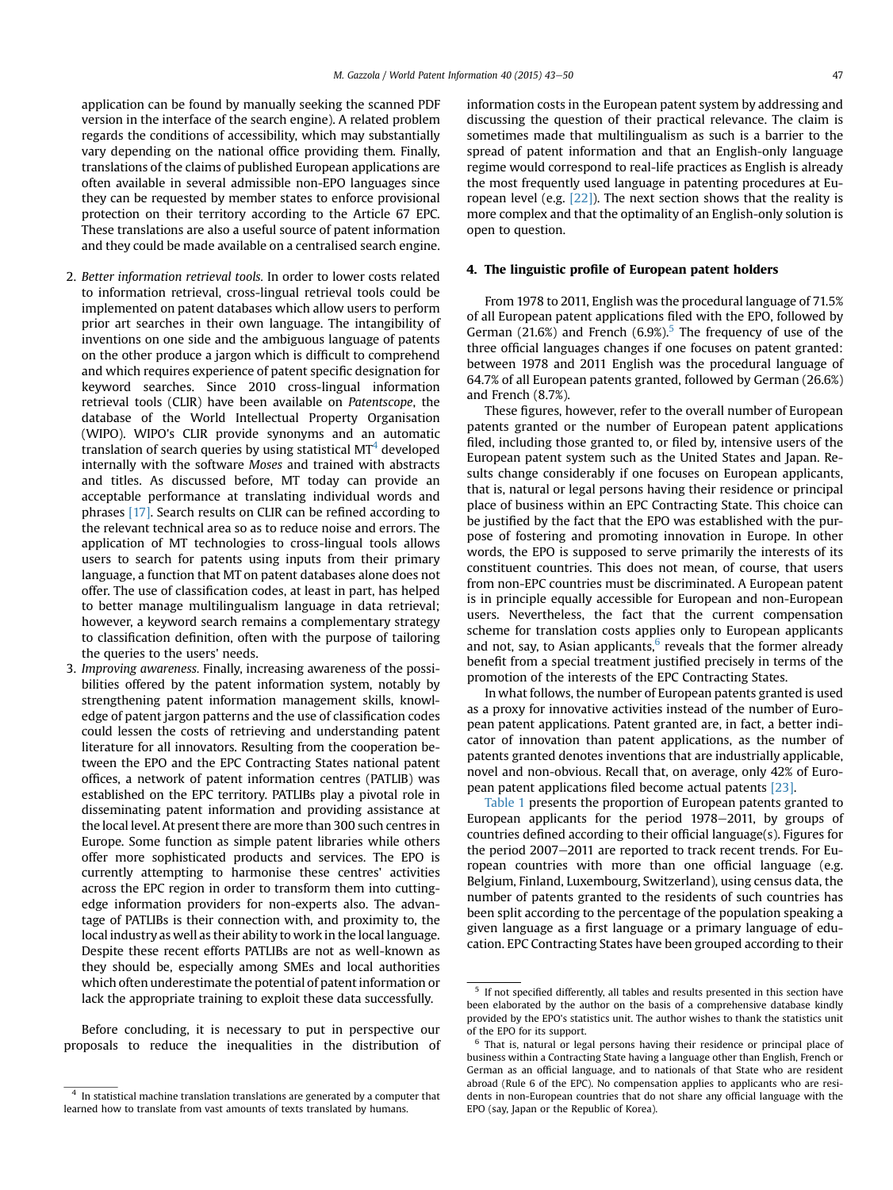<span id="page-4-0"></span>application can be found by manually seeking the scanned PDF version in the interface of the search engine). A related problem regards the conditions of accessibility, which may substantially vary depending on the national office providing them. Finally, translations of the claims of published European applications are often available in several admissible non-EPO languages since they can be requested by member states to enforce provisional protection on their territory according to the Article 67 EPC. These translations are also a useful source of patent information and they could be made available on a centralised search engine.

- 2. Better information retrieval tools. In order to lower costs related to information retrieval, cross-lingual retrieval tools could be implemented on patent databases which allow users to perform prior art searches in their own language. The intangibility of inventions on one side and the ambiguous language of patents on the other produce a jargon which is difficult to comprehend and which requires experience of patent specific designation for keyword searches. Since 2010 cross-lingual information retrieval tools (CLIR) have been available on Patentscope, the database of the World Intellectual Property Organisation (WIPO). WIPO's CLIR provide synonyms and an automatic translation of search queries by using statistical  $MT<sup>4</sup>$  developed internally with the software Moses and trained with abstracts and titles. As discussed before, MT today can provide an acceptable performance at translating individual words and phrases [\[17\]](#page-6-0). Search results on CLIR can be refined according to the relevant technical area so as to reduce noise and errors. The application of MT technologies to cross-lingual tools allows users to search for patents using inputs from their primary language, a function that MT on patent databases alone does not offer. The use of classification codes, at least in part, has helped to better manage multilingualism language in data retrieval; however, a keyword search remains a complementary strategy to classification definition, often with the purpose of tailoring the queries to the users' needs.
- 3. Improving awareness. Finally, increasing awareness of the possibilities offered by the patent information system, notably by strengthening patent information management skills, knowledge of patent jargon patterns and the use of classification codes could lessen the costs of retrieving and understanding patent literature for all innovators. Resulting from the cooperation between the EPO and the EPC Contracting States national patent offices, a network of patent information centres (PATLIB) was established on the EPC territory. PATLIBs play a pivotal role in disseminating patent information and providing assistance at the local level. At present there are more than 300 such centres in Europe. Some function as simple patent libraries while others offer more sophisticated products and services. The EPO is currently attempting to harmonise these centres' activities across the EPC region in order to transform them into cuttingedge information providers for non-experts also. The advantage of PATLIBs is their connection with, and proximity to, the local industry as well as their ability to work in the local language. Despite these recent efforts PATLIBs are not as well-known as they should be, especially among SMEs and local authorities which often underestimate the potential of patent information or lack the appropriate training to exploit these data successfully.

Before concluding, it is necessary to put in perspective our proposals to reduce the inequalities in the distribution of information costs in the European patent system by addressing and discussing the question of their practical relevance. The claim is sometimes made that multilingualism as such is a barrier to the spread of patent information and that an English-only language regime would correspond to real-life practices as English is already the most frequently used language in patenting procedures at European level (e.g. [\[22\]](#page-7-0)). The next section shows that the reality is more complex and that the optimality of an English-only solution is open to question.

## 4. The linguistic profile of European patent holders

From 1978 to 2011, English was the procedural language of 71.5% of all European patent applications filed with the EPO, followed by German (21.6%) and French  $(6.9%)$ <sup>5</sup> The frequency of use of the three official languages changes if one focuses on patent granted: between 1978 and 2011 English was the procedural language of 64.7% of all European patents granted, followed by German (26.6%) and French (8.7%).

These figures, however, refer to the overall number of European patents granted or the number of European patent applications filed, including those granted to, or filed by, intensive users of the European patent system such as the United States and Japan. Results change considerably if one focuses on European applicants, that is, natural or legal persons having their residence or principal place of business within an EPC Contracting State. This choice can be justified by the fact that the EPO was established with the purpose of fostering and promoting innovation in Europe. In other words, the EPO is supposed to serve primarily the interests of its constituent countries. This does not mean, of course, that users from non-EPC countries must be discriminated. A European patent is in principle equally accessible for European and non-European users. Nevertheless, the fact that the current compensation scheme for translation costs applies only to European applicants and not, say, to Asian applicants, $6$  reveals that the former already benefit from a special treatment justified precisely in terms of the promotion of the interests of the EPC Contracting States.

In what follows, the number of European patents granted is used as a proxy for innovative activities instead of the number of European patent applications. Patent granted are, in fact, a better indicator of innovation than patent applications, as the number of patents granted denotes inventions that are industrially applicable, novel and non-obvious. Recall that, on average, only 42% of European patent applications filed become actual patents [\[23\].](#page-7-0)

[Table 1](#page-5-0) presents the proportion of European patents granted to European applicants for the period 1978-2011, by groups of countries defined according to their official language(s). Figures for the period 2007-2011 are reported to track recent trends. For European countries with more than one official language (e.g. Belgium, Finland, Luxembourg, Switzerland), using census data, the number of patents granted to the residents of such countries has been split according to the percentage of the population speaking a given language as a first language or a primary language of education. EPC Contracting States have been grouped according to their

 $4$  In statistical machine translation translations are generated by a computer that learned how to translate from vast amounts of texts translated by humans.

<sup>5</sup> If not specified differently, all tables and results presented in this section have been elaborated by the author on the basis of a comprehensive database kindly provided by the EPO's statistics unit. The author wishes to thank the statistics unit of the EPO for its support.

<sup>&</sup>lt;sup>6</sup> That is, natural or legal persons having their residence or principal place of business within a Contracting State having a language other than English, French or German as an official language, and to nationals of that State who are resident abroad (Rule 6 of the EPC). No compensation applies to applicants who are residents in non-European countries that do not share any official language with the EPO (say, Japan or the Republic of Korea).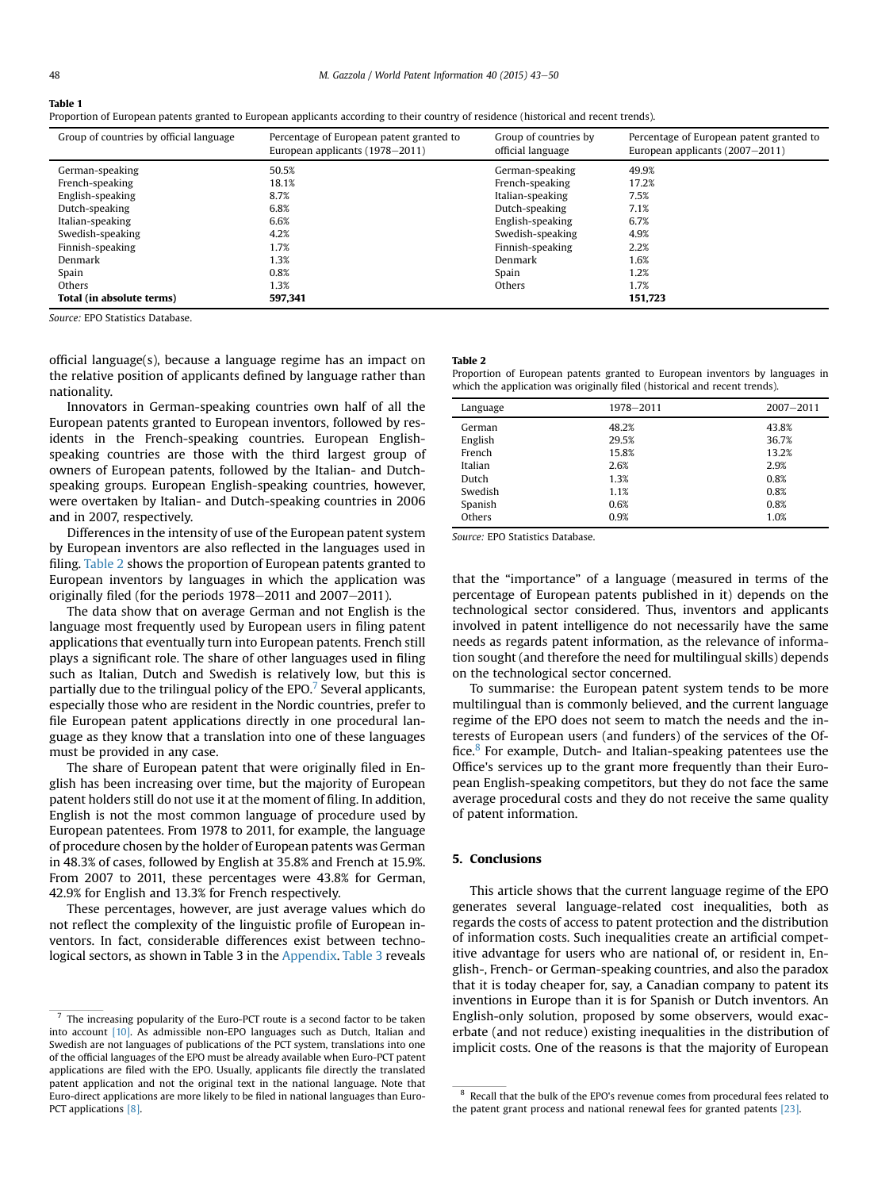#### <span id="page-5-0"></span>Table 1

Proportion of European patents granted to European applicants according to their country of residence (historical and recent trends).

| Group of countries by official language | Percentage of European patent granted to<br>European applicants (1978-2011) | Group of countries by<br>official language | Percentage of European patent granted to<br>European applicants (2007-2011) |
|-----------------------------------------|-----------------------------------------------------------------------------|--------------------------------------------|-----------------------------------------------------------------------------|
| German-speaking                         | 50.5%                                                                       | German-speaking                            | 49.9%                                                                       |
| French-speaking                         | 18.1%                                                                       | French-speaking                            | 17.2%                                                                       |
| English-speaking                        | 8.7%                                                                        | Italian-speaking                           | 7.5%                                                                        |
| Dutch-speaking                          | 6.8%                                                                        | Dutch-speaking                             | 7.1%                                                                        |
| Italian-speaking                        | 6.6%                                                                        | English-speaking                           | 6.7%                                                                        |
| Swedish-speaking                        | 4.2%                                                                        | Swedish-speaking                           | 4.9%                                                                        |
| Finnish-speaking                        | 1.7%                                                                        | Finnish-speaking                           | 2.2%                                                                        |
| Denmark                                 | 1.3%                                                                        | Denmark                                    | 1.6%                                                                        |
| Spain                                   | 0.8%                                                                        | Spain                                      | 1.2%                                                                        |
| Others                                  | 1.3%                                                                        | Others                                     | 1.7%                                                                        |
| Total (in absolute terms)               | 597.341                                                                     |                                            | 151.723                                                                     |

Source: EPO Statistics Database.

official language(s), because a language regime has an impact on the relative position of applicants defined by language rather than nationality.

Innovators in German-speaking countries own half of all the European patents granted to European inventors, followed by residents in the French-speaking countries. European Englishspeaking countries are those with the third largest group of owners of European patents, followed by the Italian- and Dutchspeaking groups. European English-speaking countries, however, were overtaken by Italian- and Dutch-speaking countries in 2006 and in 2007, respectively.

Differences in the intensity of use of the European patent system by European inventors are also reflected in the languages used in filing. Table 2 shows the proportion of European patents granted to European inventors by languages in which the application was originally filed (for the periods  $1978-2011$  and  $2007-2011$ ).

The data show that on average German and not English is the language most frequently used by European users in filing patent applications that eventually turn into European patents. French still plays a significant role. The share of other languages used in filing such as Italian, Dutch and Swedish is relatively low, but this is partially due to the trilingual policy of the  $EPO<sup>7</sup>$  Several applicants, especially those who are resident in the Nordic countries, prefer to file European patent applications directly in one procedural language as they know that a translation into one of these languages must be provided in any case.

The share of European patent that were originally filed in English has been increasing over time, but the majority of European patent holders still do not use it at the moment of filing. In addition, English is not the most common language of procedure used by European patentees. From 1978 to 2011, for example, the language of procedure chosen by the holder of European patents was German in 48.3% of cases, followed by English at 35.8% and French at 15.9%. From 2007 to 2011, these percentages were 43.8% for German, 42.9% for English and 13.3% for French respectively.

These percentages, however, are just average values which do not reflect the complexity of the linguistic profile of European inventors. In fact, considerable differences exist between technological sectors, as shown in Table 3 in the [Appendix.](#page-6-0) [Table 3](#page-6-0) reveals

## Table 2

Proportion of European patents granted to European inventors by languages in which the application was originally filed (historical and recent trends).

| Language | 1978-2011 | $2007 - 2011$ |
|----------|-----------|---------------|
| German   | 48.2%     | 43.8%         |
| English  | 29.5%     | 36.7%         |
| French   | 15.8%     | 13.2%         |
| Italian  | 2.6%      | 2.9%          |
| Dutch    | 1.3%      | 0.8%          |
| Swedish  | 1.1%      | 0.8%          |
| Spanish  | 0.6%      | 0.8%          |
| Others   | 0.9%      | 1.0%          |

Source: EPO Statistics Database.

that the "importance" of a language (measured in terms of the percentage of European patents published in it) depends on the technological sector considered. Thus, inventors and applicants involved in patent intelligence do not necessarily have the same needs as regards patent information, as the relevance of information sought (and therefore the need for multilingual skills) depends on the technological sector concerned.

To summarise: the European patent system tends to be more multilingual than is commonly believed, and the current language regime of the EPO does not seem to match the needs and the interests of European users (and funders) of the services of the Office.<sup>8</sup> For example, Dutch- and Italian-speaking patentees use the Office's services up to the grant more frequently than their European English-speaking competitors, but they do not face the same average procedural costs and they do not receive the same quality of patent information.

#### 5. Conclusions

This article shows that the current language regime of the EPO generates several language-related cost inequalities, both as regards the costs of access to patent protection and the distribution of information costs. Such inequalities create an artificial competitive advantage for users who are national of, or resident in, English-, French- or German-speaking countries, and also the paradox that it is today cheaper for, say, a Canadian company to patent its inventions in Europe than it is for Spanish or Dutch inventors. An English-only solution, proposed by some observers, would exacerbate (and not reduce) existing inequalities in the distribution of implicit costs. One of the reasons is that the majority of European

<sup>7</sup> The increasing popularity of the Euro-PCT route is a second factor to be taken into account [\[10\].](#page-6-0) As admissible non-EPO languages such as Dutch, Italian and Swedish are not languages of publications of the PCT system, translations into one of the official languages of the EPO must be already available when Euro-PCT patent applications are filed with the EPO. Usually, applicants file directly the translated patent application and not the original text in the national language. Note that Euro-direct applications are more likely to be filed in national languages than Euro-PCT applications [\[8\]](#page-6-0).

<sup>8</sup> Recall that the bulk of the EPO's revenue comes from procedural fees related to the patent grant process and national renewal fees for granted patents [\[23\]](#page-7-0).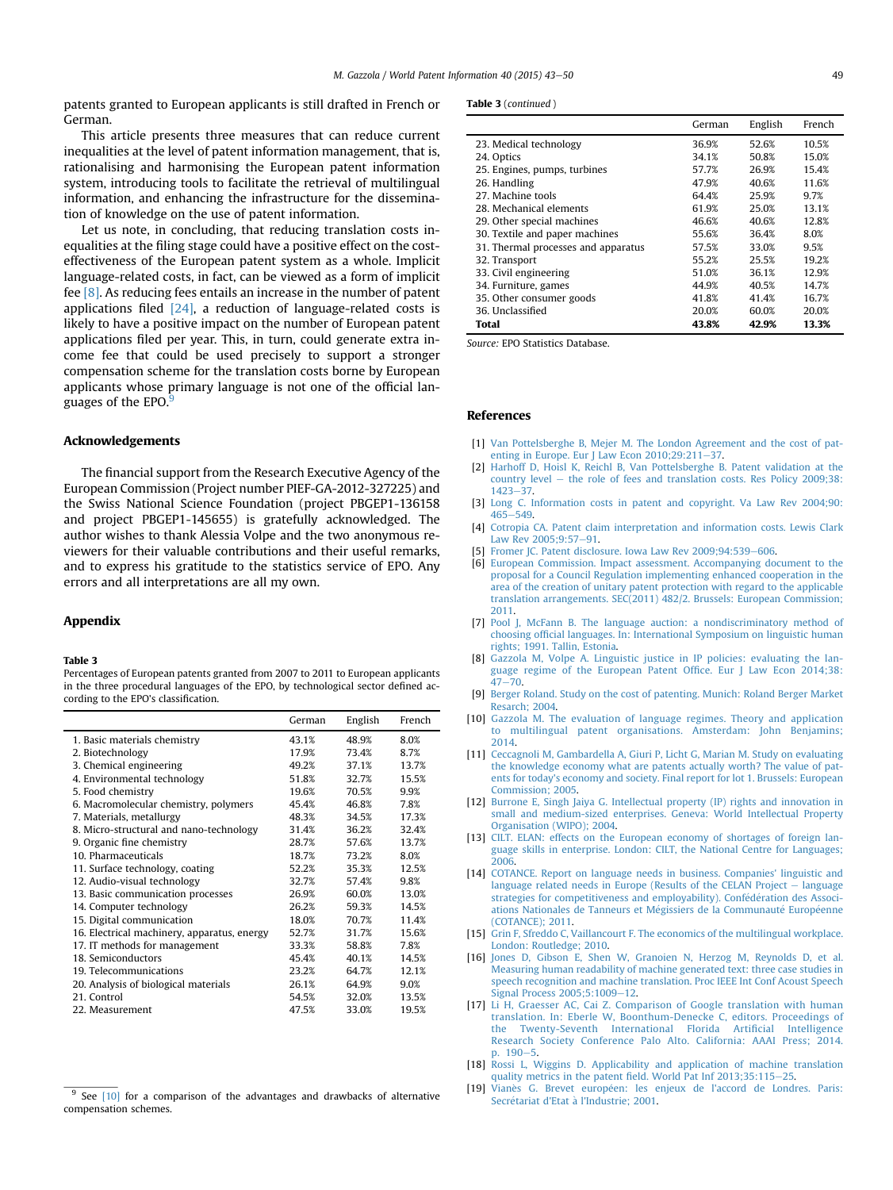<span id="page-6-0"></span>patents granted to European applicants is still drafted in French or German.

This article presents three measures that can reduce current inequalities at the level of patent information management, that is, rationalising and harmonising the European patent information system, introducing tools to facilitate the retrieval of multilingual information, and enhancing the infrastructure for the dissemination of knowledge on the use of patent information.

Let us note, in concluding, that reducing translation costs inequalities at the filing stage could have a positive effect on the costeffectiveness of the European patent system as a whole. Implicit language-related costs, in fact, can be viewed as a form of implicit fee [8]. As reducing fees entails an increase in the number of patent applications filed  $[24]$ , a reduction of language-related costs is likely to have a positive impact on the number of European patent applications filed per year. This, in turn, could generate extra income fee that could be used precisely to support a stronger compensation scheme for the translation costs borne by European applicants whose primary language is not one of the official languages of the EPO.<sup>9</sup>

#### Acknowledgements

The financial support from the Research Executive Agency of the European Commission (Project number PIEF-GA-2012-327225) and the Swiss National Science Foundation (project PBGEP1-136158 and project PBGEP1-145655) is gratefully acknowledged. The author wishes to thank Alessia Volpe and the two anonymous reviewers for their valuable contributions and their useful remarks, and to express his gratitude to the statistics service of EPO. Any errors and all interpretations are all my own.

### Appendix

#### Table 3

Percentages of European patents granted from 2007 to 2011 to European applicants in the three procedural languages of the EPO, by technological sector defined according to the EPO's classification.

|                                             | German | English | French |
|---------------------------------------------|--------|---------|--------|
| 1. Basic materials chemistry                | 43.1%  | 48.9%   | 8.0%   |
| 2. Biotechnology                            | 17.9%  | 73.4%   | 8.7%   |
| 3. Chemical engineering                     | 49.2%  | 37.1%   | 13.7%  |
| 4. Environmental technology                 | 51.8%  | 32.7%   | 15.5%  |
| 5. Food chemistry                           | 19.6%  | 70.5%   | 9.9%   |
| 6. Macromolecular chemistry, polymers       | 45.4%  | 46.8%   | 7.8%   |
| 7. Materials, metallurgy                    | 48.3%  | 34.5%   | 17.3%  |
| 8. Micro-structural and nano-technology     | 31.4%  | 36.2%   | 32.4%  |
| 9. Organic fine chemistry                   | 28.7%  | 57.6%   | 13.7%  |
| 10. Pharmaceuticals                         | 18.7%  | 73.2%   | 8.0%   |
| 11. Surface technology, coating             | 52.2%  | 35.3%   | 12.5%  |
| 12. Audio-visual technology                 | 32.7%  | 57.4%   | 9.8%   |
| 13. Basic communication processes           | 26.9%  | 60.0%   | 13.0%  |
| 14. Computer technology                     | 26.2%  | 59.3%   | 14.5%  |
| 15. Digital communication                   | 18.0%  | 70.7%   | 11.4%  |
| 16. Electrical machinery, apparatus, energy | 52.7%  | 31.7%   | 15.6%  |
| 17. IT methods for management               | 33.3%  | 58.8%   | 7.8%   |
| 18. Semiconductors                          | 45.4%  | 40.1%   | 14.5%  |
| 19. Telecommunications                      | 23.2%  | 64.7%   | 12.1%  |
| 20. Analysis of biological materials        | 26.1%  | 64.9%   | 9.0%   |
| 21. Control                                 | 54.5%  | 32.0%   | 13.5%  |
| 22. Measurement                             | 47.5%  | 33.0%   | 19.5%  |

#### Table 3 (continued )

|                                     | German | English | French |
|-------------------------------------|--------|---------|--------|
| 23. Medical technology              | 36.9%  | 52.6%   | 10.5%  |
| 24. Optics                          | 34.1%  | 50.8%   | 15.0%  |
| 25. Engines, pumps, turbines        | 57.7%  | 26.9%   | 15.4%  |
| 26. Handling                        | 47.9%  | 40.6%   | 11.6%  |
| 27. Machine tools                   | 64.4%  | 25.9%   | 9.7%   |
| 28. Mechanical elements             | 61.9%  | 25.0%   | 13.1%  |
| 29. Other special machines          | 46.6%  | 40.6%   | 12.8%  |
| 30. Textile and paper machines      | 55.6%  | 36.4%   | 8.0%   |
| 31. Thermal processes and apparatus | 57.5%  | 33.0%   | 9.5%   |
| 32. Transport                       | 55.2%  | 25.5%   | 19.2%  |
| 33. Civil engineering               | 51.0%  | 36.1%   | 12.9%  |
| 34. Furniture, games                | 44.9%  | 40.5%   | 14.7%  |
| 35. Other consumer goods            | 41.8%  | 41.4%   | 16.7%  |
| 36. Unclassified                    | 20.0%  | 60.0%   | 20.0%  |
| Total                               | 43.8%  | 42.9%   | 13.3%  |
|                                     |        |         |        |

Source: EPO Statistics Database.

#### References

- [1] [Van Pottelsberghe B, Mejer M. The London Agreement and the cost of pat](http://refhub.elsevier.com/S0172-2190(14)00157-4/sref1)[enting in Europe. Eur J Law Econ 2010;29:211](http://refhub.elsevier.com/S0172-2190(14)00157-4/sref1)-[37.](http://refhub.elsevier.com/S0172-2190(14)00157-4/sref1)
- [2] [Harhoff D, Hoisl K, Reichl B, Van Pottelsberghe B. Patent validation at the](http://refhub.elsevier.com/S0172-2190(14)00157-4/sref2) [country level](http://refhub.elsevier.com/S0172-2190(14)00157-4/sref2)  $-$  [the role of fees and translation costs. Res Policy 2009;38:](http://refhub.elsevier.com/S0172-2190(14)00157-4/sref2)  $1423 - 37$  $1423 - 37$  $1423 - 37$
- [3] [Long C. Information costs in patent and copyright. Va Law Rev 2004;90:](http://refhub.elsevier.com/S0172-2190(14)00157-4/sref3)  $465 - 549.$  $465 - 549.$  $465 - 549.$  $465 - 549.$
- [4] [Cotropia CA. Patent claim interpretation and information costs. Lewis Clark](http://refhub.elsevier.com/S0172-2190(14)00157-4/sref4) Law Rev 2005:9:57-[91.](http://refhub.elsevier.com/S0172-2190(14)00157-4/sref4)
- [5] [Fromer JC. Patent disclosure. Iowa Law Rev 2009;94:539](http://refhub.elsevier.com/S0172-2190(14)00157-4/sref5)-[606.](http://refhub.elsevier.com/S0172-2190(14)00157-4/sref5)
- [6] [European Commission. Impact assessment. Accompanying document to the](http://refhub.elsevier.com/S0172-2190(14)00157-4/sref6) [proposal for a Council Regulation implementing enhanced cooperation in the](http://refhub.elsevier.com/S0172-2190(14)00157-4/sref6) [area of the creation of unitary patent protection with regard to the applicable](http://refhub.elsevier.com/S0172-2190(14)00157-4/sref6) [translation arrangements. SEC\(2011\) 482/2. Brussels: European Commission;](http://refhub.elsevier.com/S0172-2190(14)00157-4/sref6) [2011.](http://refhub.elsevier.com/S0172-2190(14)00157-4/sref6)
- [7] [Pool J, McFann B. The language auction: a nondiscriminatory method of](http://refhub.elsevier.com/S0172-2190(14)00157-4/sref7) choosing offi[cial languages. In: International Symposium on linguistic human](http://refhub.elsevier.com/S0172-2190(14)00157-4/sref7) [rights; 1991. Tallin, Estonia.](http://refhub.elsevier.com/S0172-2190(14)00157-4/sref7)
- [8] [Gazzola M, Volpe A. Linguistic justice in IP policies: evaluating the lan](http://refhub.elsevier.com/S0172-2190(14)00157-4/sref8)[guage regime of the European Patent Of](http://refhub.elsevier.com/S0172-2190(14)00157-4/sref8)fice. Eur J Law Econ 2014;38:  $47 - 70$  $47 - 70$
- [9] [Berger Roland. Study on the cost of patenting. Munich: Roland Berger Market](http://refhub.elsevier.com/S0172-2190(14)00157-4/sref9) [Resarch; 2004.](http://refhub.elsevier.com/S0172-2190(14)00157-4/sref9)
- [10] [Gazzola M. The evaluation of language regimes. Theory and application](http://refhub.elsevier.com/S0172-2190(14)00157-4/sref10) [to multilingual patent organisations. Amsterdam: John Benjamins;](http://refhub.elsevier.com/S0172-2190(14)00157-4/sref10) [2014](http://refhub.elsevier.com/S0172-2190(14)00157-4/sref10).
- [11] [Ceccagnoli M, Gambardella A, Giuri P, Licht G, Marian M. Study on evaluating](http://refhub.elsevier.com/S0172-2190(14)00157-4/sref11) [the knowledge economy what are patents actually worth? The value of pat](http://refhub.elsevier.com/S0172-2190(14)00157-4/sref11)[ents for today's economy and society. Final report for lot 1. Brussels: European](http://refhub.elsevier.com/S0172-2190(14)00157-4/sref11) [Commission; 2005.](http://refhub.elsevier.com/S0172-2190(14)00157-4/sref11)
- [12] [Burrone E, Singh Jaiya G. Intellectual property \(IP\) rights and innovation in](http://refhub.elsevier.com/S0172-2190(14)00157-4/sref12) [small and medium-sized enterprises. Geneva: World Intellectual Property](http://refhub.elsevier.com/S0172-2190(14)00157-4/sref12) [Organisation \(WIPO\); 2004](http://refhub.elsevier.com/S0172-2190(14)00157-4/sref12).
- [13] [CILT. ELAN: effects on the European economy of shortages of foreign lan](http://refhub.elsevier.com/S0172-2190(14)00157-4/sref13)[guage skills in enterprise. London: CILT, the National Centre for Languages;](http://refhub.elsevier.com/S0172-2190(14)00157-4/sref13) [2006.](http://refhub.elsevier.com/S0172-2190(14)00157-4/sref13)
- [14] [COTANCE. Report on language needs in business. Companies' linguistic and](http://refhub.elsevier.com/S0172-2190(14)00157-4/sref14) [language related needs in Europe \(Results of the CELAN Project](http://refhub.elsevier.com/S0172-2190(14)00157-4/sref14) - [language](http://refhub.elsevier.com/S0172-2190(14)00157-4/sref14) [strategies for competitiveness and employability\). Conf](http://refhub.elsevier.com/S0172-2190(14)00157-4/sref14)é[d](http://refhub.elsevier.com/S0172-2190(14)00157-4/sref14)é[ration des Associ](http://refhub.elsevier.com/S0172-2190(14)00157-4/sref14) [ations Nationales de Tanneurs et M](http://refhub.elsevier.com/S0172-2190(14)00157-4/sref14)é[gissiers de la Communaut](http://refhub.elsevier.com/S0172-2190(14)00157-4/sref14)é [Europ](http://refhub.elsevier.com/S0172-2190(14)00157-4/sref14)é[enne](http://refhub.elsevier.com/S0172-2190(14)00157-4/sref14) [\(COTANCE\); 2011](http://refhub.elsevier.com/S0172-2190(14)00157-4/sref14).
- [15] [Grin F, Sfreddo C, Vaillancourt F. The economics of the multilingual workplace.](http://refhub.elsevier.com/S0172-2190(14)00157-4/sref15) [London: Routledge; 2010](http://refhub.elsevier.com/S0172-2190(14)00157-4/sref15).
- [16] [Jones D, Gibson E, Shen W, Granoien N, Herzog M, Reynolds D, et al.](http://refhub.elsevier.com/S0172-2190(14)00157-4/sref16) [Measuring human readability of machine generated text: three case studies in](http://refhub.elsevier.com/S0172-2190(14)00157-4/sref16) [speech recognition and machine translation. Proc IEEE Int Conf Acoust Speech](http://refhub.elsevier.com/S0172-2190(14)00157-4/sref16) Signal Process  $2005:5:1009-12$  $2005:5:1009-12$ .
- [17] [Li H, Graesser AC, Cai Z. Comparison of Google translation with human](http://refhub.elsevier.com/S0172-2190(14)00157-4/sref17) [translation. In: Eberle W, Boonthum-Denecke C, editors. Proceedings of](http://refhub.elsevier.com/S0172-2190(14)00157-4/sref17) [the Twenty-Seventh International Florida Arti](http://refhub.elsevier.com/S0172-2190(14)00157-4/sref17)ficial Intelligence [Research Society Conference Palo Alto. California: AAAI Press; 2014.](http://refhub.elsevier.com/S0172-2190(14)00157-4/sref17)  $p. 190 - 5$  $p. 190 - 5$
- [18] [Rossi L, Wiggins D. Applicability and application of machine translation](http://refhub.elsevier.com/S0172-2190(14)00157-4/sref18) quality metrics in the patent fi[eld. World Pat Inf 2013;35:115](http://refhub.elsevier.com/S0172-2190(14)00157-4/sref18)-[25.](http://refhub.elsevier.com/S0172-2190(14)00157-4/sref18)
- [19] [Vian](http://refhub.elsevier.com/S0172-2190(14)00157-4/sref19)è[s G. Brevet europ](http://refhub.elsevier.com/S0172-2190(14)00157-4/sref19)éen: les enjeux de l'accord de Londres. Paris: [Secr](http://refhub.elsevier.com/S0172-2190(14)00157-4/sref19)é[tariat d'Etat](http://refhub.elsevier.com/S0172-2190(14)00157-4/sref19) à l'Industrie; 2001.

 $9$  See [10] for a comparison of the advantages and drawbacks of alternative compensation schemes.